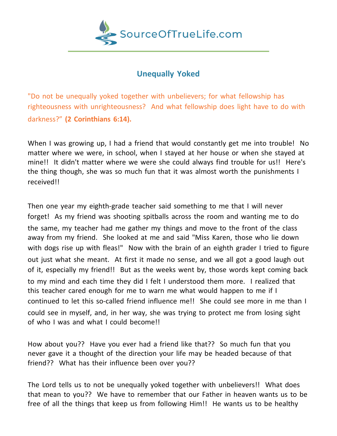

## **Unequally Yoked**

"Do not be unequally yoked together with unbelievers; for what fellowship has righteousness with unrighteousness? And what fellowship does light have to do with darkness?" **(2 Corinthians 6:14).**

When I was growing up, I had a friend that would constantly get me into trouble! No matter where we were, in school, when I stayed at her house or when she stayed at mine!! It didn't matter where we were she could always find trouble for us!! Here's the thing though, she was so much fun that it was almost worth the punishments I received!!

Then one year my eighth-grade teacher said something to me that I will never forget! As my friend was shooting spitballs across the room and wanting me to do the same, my teacher had me gather my things and move to the front of the class away from my friend. She looked at me and said "Miss Karen, those who lie down with dogs rise up with fleas!" Now with the brain of an eighth grader I tried to figure out just what she meant. At first it made no sense, and we all got a good laugh out of it, especially my friend!! But as the weeks went by, those words kept coming back to my mind and each time they did I felt I understood them more. I realized that this teacher cared enough for me to warn me what would happen to me if I continued to let this so-called friend influence me!! She could see more in me than I could see in myself, and, in her way, she was trying to protect me from losing sight of who I was and what I could become!!

How about you?? Have you ever had a friend like that?? So much fun that you never gave it a thought of the direction your life may be headed because of that friend?? What has their influence been over you??

The Lord tells us to not be unequally yoked together with unbelievers!! What does that mean to you?? We have to remember that our Father in heaven wants us to be free of all the things that keep us from following Him!! He wants us to be healthy